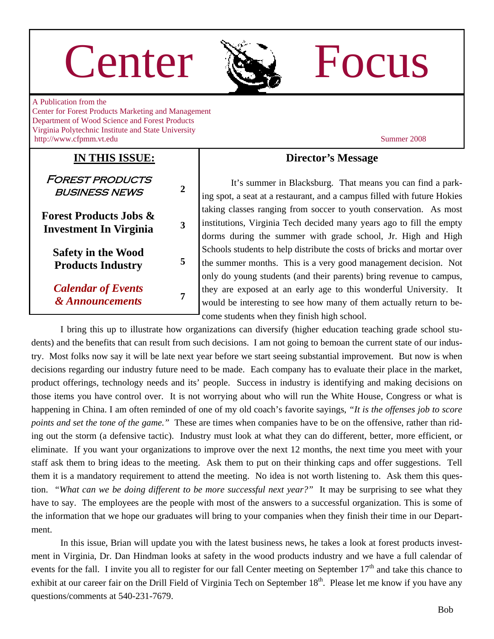# Center Re Focus



A Publication from the Center for Forest Products Marketing and Management Department of Wood Science and Forest Products Virginia Polytechnic Institute and State University http://www.cfpmm.vt.edu Summer 2008

## **IN THIS ISSUE:**

Forest products business news **2** 

**Forest Products Jobs & Investment In Virginia <sup>3</sup>**

**Safety in the Wood Products Industry <sup>5</sup>**

*Calendar of Events & Announcements* **<sup>7</sup>**

### **Director's Message**

It's summer in Blacksburg. That means you can find a parking spot, a seat at a restaurant, and a campus filled with future Hokies taking classes ranging from soccer to youth conservation. As most institutions, Virginia Tech decided many years ago to fill the empty dorms during the summer with grade school, Jr. High and High Schools students to help distribute the costs of bricks and mortar over the summer months. This is a very good management decision. Not only do young students (and their parents) bring revenue to campus, they are exposed at an early age to this wonderful University. It would be interesting to see how many of them actually return to become students when they finish high school.

 I bring this up to illustrate how organizations can diversify (higher education teaching grade school students) and the benefits that can result from such decisions. I am not going to bemoan the current state of our industry. Most folks now say it will be late next year before we start seeing substantial improvement. But now is when decisions regarding our industry future need to be made. Each company has to evaluate their place in the market, product offerings, technology needs and its' people. Success in industry is identifying and making decisions on those items you have control over. It is not worrying about who will run the White House, Congress or what is happening in China. I am often reminded of one of my old coach's favorite sayings, *"It is the offenses job to score points and set the tone of the game.*" These are times when companies have to be on the offensive, rather than riding out the storm (a defensive tactic). Industry must look at what they can do different, better, more efficient, or eliminate. If you want your organizations to improve over the next 12 months, the next time you meet with your staff ask them to bring ideas to the meeting. Ask them to put on their thinking caps and offer suggestions. Tell them it is a mandatory requirement to attend the meeting. No idea is not worth listening to. Ask them this question. *"What can we be doing different to be more successful next year?"* It may be surprising to see what they have to say. The employees are the people with most of the answers to a successful organization. This is some of the information that we hope our graduates will bring to your companies when they finish their time in our Department.

 In this issue, Brian will update you with the latest business news, he takes a look at forest products investment in Virginia, Dr. Dan Hindman looks at safety in the wood products industry and we have a full calendar of events for the fall. I invite you all to register for our fall Center meeting on September  $17<sup>th</sup>$  and take this chance to exhibit at our career fair on the Drill Field of Virginia Tech on September  $18<sup>th</sup>$ . Please let me know if you have any questions/comments at 540-231-7679.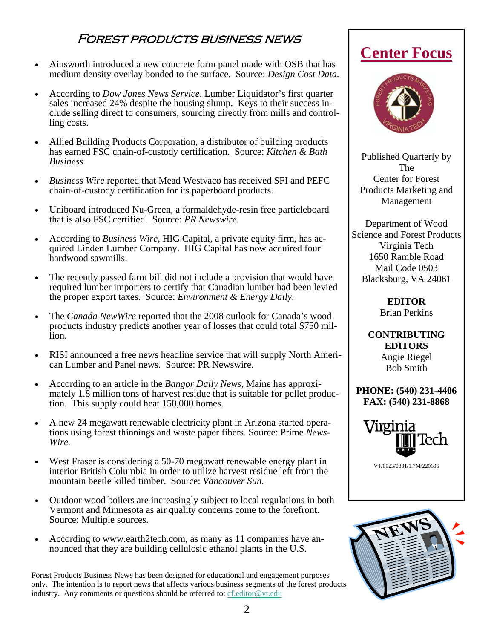# Forest products business news

- Ainsworth introduced a new concrete form panel made with OSB that has medium density overlay bonded to the surface. Source: *Design Cost Data.*
- According to *Dow Jones News Service*, Lumber Liquidator's first quarter sales increased 24% despite the housing slump. Keys to their success include selling direct to consumers, sourcing directly from mills and controlling costs.
- Allied Building Products Corporation, a distributor of building products has earned FSC chain-of-custody certification. Source: *Kitchen & Bath Business*
- *Business Wire* reported that Mead Westvaco has received SFI and PEFC chain-of-custody certification for its paperboard products.
- Uniboard introduced Nu-Green, a formaldehyde-resin free particleboard that is also FSC certified. Source: *PR Newswire*.
- According to *Business Wire*, HIG Capital, a private equity firm, has acquired Linden Lumber Company. HIG Capital has now acquired four hardwood sawmills.
- The recently passed farm bill did not include a provision that would have required lumber importers to certify that Canadian lumber had been levied the proper export taxes. Source: *Environment & Energy Daily*.
- The *Canada NewWire* reported that the 2008 outlook for Canada's wood products industry predicts another year of losses that could total \$750 million.
- RISI announced a free news headline service that will supply North American Lumber and Panel news. Source: PR Newswire.
- According to an article in the *Bangor Daily News*, Maine has approximately 1.8 million tons of harvest residue that is suitable for pellet production. This supply could heat 150,000 homes.
- A new 24 megawatt renewable electricity plant in Arizona started operations using forest thinnings and waste paper fibers. Source: Prime *News-Wire.*
- West Fraser is considering a 50-70 megawatt renewable energy plant in interior British Columbia in order to utilize harvest residue left from the mountain beetle killed timber. Source: *Vancouver Sun.*
- Outdoor wood boilers are increasingly subject to local regulations in both Vermont and Minnesota as air quality concerns come to the forefront. Source: Multiple sources.
- According to www.earth2tech.com, as many as 11 companies have announced that they are building cellulosic ethanol plants in the U.S.

Forest Products Business News has been designed for educational and engagement purposes only. The intention is to report news that affects various business segments of the forest products industry. Any comments or questions should be referred to: [cf.editor@vt.edu](mailto:cf.editor@vt.edu?subject=Center%20Focus%20Comment)

# **Center Focus**



Published Quarterly by The Center for Forest Products Marketing and Management

Department of Wood Science and Forest Products Virginia Tech 1650 Ramble Road Mail Code 0503 Blacksburg, VA 24061

> **EDITOR**  Brian Perkins

**CONTRIBUTING EDITORS**  Angie Riegel Bob Smith

**PHONE: (540) 231-4406 FAX: (540) 231-8868** 



VT/0023/0801/1.7M/220696

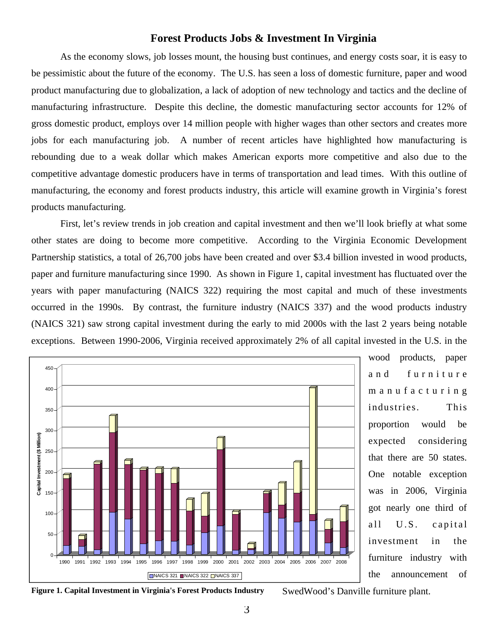#### **Forest Products Jobs & Investment In Virginia**

As the economy slows, job losses mount, the housing bust continues, and energy costs soar, it is easy to be pessimistic about the future of the economy. The U.S. has seen a loss of domestic furniture, paper and wood product manufacturing due to globalization, a lack of adoption of new technology and tactics and the decline of manufacturing infrastructure. Despite this decline, the domestic manufacturing sector accounts for 12% of gross domestic product, employs over 14 million people with higher wages than other sectors and creates more jobs for each manufacturing job. A number of recent articles have highlighted how manufacturing is rebounding due to a weak dollar which makes American exports more competitive and also due to the competitive advantage domestic producers have in terms of transportation and lead times. With this outline of manufacturing, the economy and forest products industry, this article will examine growth in Virginia's forest products manufacturing.

 First, let's review trends in job creation and capital investment and then we'll look briefly at what some other states are doing to become more competitive. According to the Virginia Economic Development Partnership statistics, a total of 26,700 jobs have been created and over \$3.4 billion invested in wood products, paper and furniture manufacturing since 1990. As shown in Figure 1, capital investment has fluctuated over the years with paper manufacturing (NAICS 322) requiring the most capital and much of these investments occurred in the 1990s. By contrast, the furniture industry (NAICS 337) and the wood products industry (NAICS 321) saw strong capital investment during the early to mid 2000s with the last 2 years being notable exceptions. Between 1990-2006, Virginia received approximately 2% of all capital invested in the U.S. in the



wood products, paper and furniture m a n u f a c t u r i n g industries. This proportion would be expected considering that there are 50 states. One notable exception was in 2006, Virginia got nearly one third of all U.S. capital investment in the furniture industry with the announcement of

**Figure 1. Capital Investment in Virginia's Forest Products Industry** 

SwedWood's Danville furniture plant.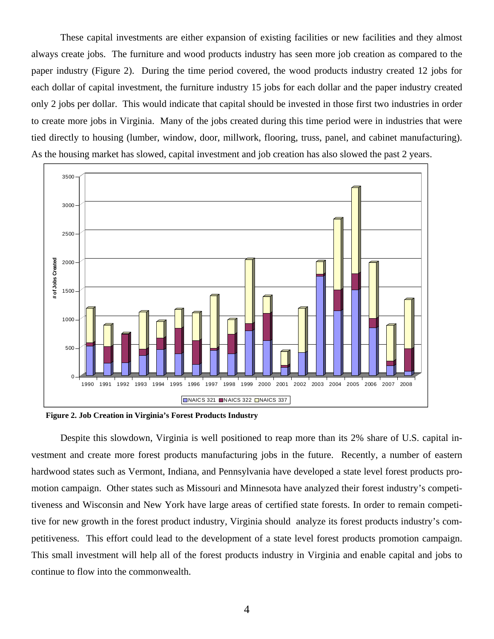These capital investments are either expansion of existing facilities or new facilities and they almost always create jobs. The furniture and wood products industry has seen more job creation as compared to the paper industry (Figure 2). During the time period covered, the wood products industry created 12 jobs for each dollar of capital investment, the furniture industry 15 jobs for each dollar and the paper industry created only 2 jobs per dollar. This would indicate that capital should be invested in those first two industries in order to create more jobs in Virginia. Many of the jobs created during this time period were in industries that were tied directly to housing (lumber, window, door, millwork, flooring, truss, panel, and cabinet manufacturing). As the housing market has slowed, capital investment and job creation has also slowed the past 2 years.



**Figure 2. Job Creation in Virginia's Forest Products Industry** 

Despite this slowdown, Virginia is well positioned to reap more than its 2% share of U.S. capital investment and create more forest products manufacturing jobs in the future. Recently, a number of eastern hardwood states such as Vermont, Indiana, and Pennsylvania have developed a state level forest products promotion campaign. Other states such as Missouri and Minnesota have analyzed their forest industry's competitiveness and Wisconsin and New York have large areas of certified state forests. In order to remain competitive for new growth in the forest product industry, Virginia should analyze its forest products industry's competitiveness. This effort could lead to the development of a state level forest products promotion campaign. This small investment will help all of the forest products industry in Virginia and enable capital and jobs to continue to flow into the commonwealth.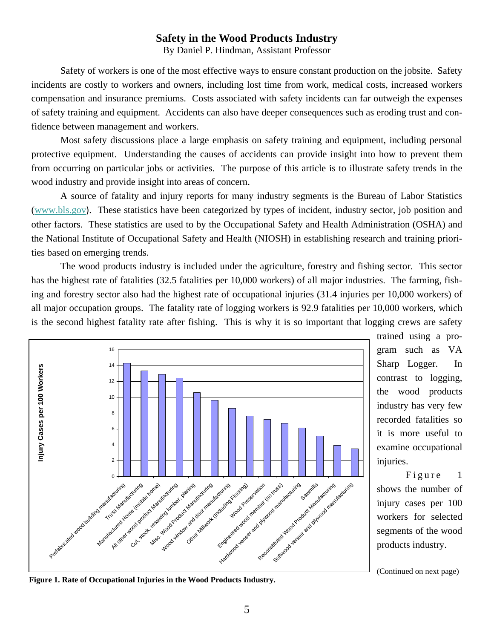#### **Safety in the Wood Products Industry**

By Daniel P. Hindman, Assistant Professor

Safety of workers is one of the most effective ways to ensure constant production on the jobsite. Safety incidents are costly to workers and owners, including lost time from work, medical costs, increased workers compensation and insurance premiums. Costs associated with safety incidents can far outweigh the expenses of safety training and equipment. Accidents can also have deeper consequences such as eroding trust and confidence between management and workers.

 Most safety discussions place a large emphasis on safety training and equipment, including personal protective equipment. Understanding the causes of accidents can provide insight into how to prevent them from occurring on particular jobs or activities. The purpose of this article is to illustrate safety trends in the wood industry and provide insight into areas of concern.

 A source of fatality and injury reports for many industry segments is the Bureau of Labor Statistics ([www.bls.gov](http://www.bls.gov/)). These statistics have been categorized by types of incident, industry sector, job position and other factors. These statistics are used to by the Occupational Safety and Health Administration (OSHA) and the National Institute of Occupational Safety and Health (NIOSH) in establishing research and training priorities based on emerging trends.

 The wood products industry is included under the agriculture, forestry and fishing sector. This sector has the highest rate of fatalities (32.5 fatalities per 10,000 workers) of all major industries. The farming, fishing and forestry sector also had the highest rate of occupational injuries (31.4 injuries per 10,000 workers) of all major occupation groups. The fatality rate of logging workers is 92.9 fatalities per 10,000 workers, which is the second highest fatality rate after fishing. This is why it is so important that logging crews are safety



trained using a program such as VA Sharp Logger. In contrast to logging, the wood products industry has very few recorded fatalities so it is more useful to examine occupational injuries.

Figure 1 shows the number of injury cases per 100 workers for selected segments of the wood products industry.

(Continued on next page)

**Figure 1. Rate of Occupational Injuries in the Wood Products Industry.**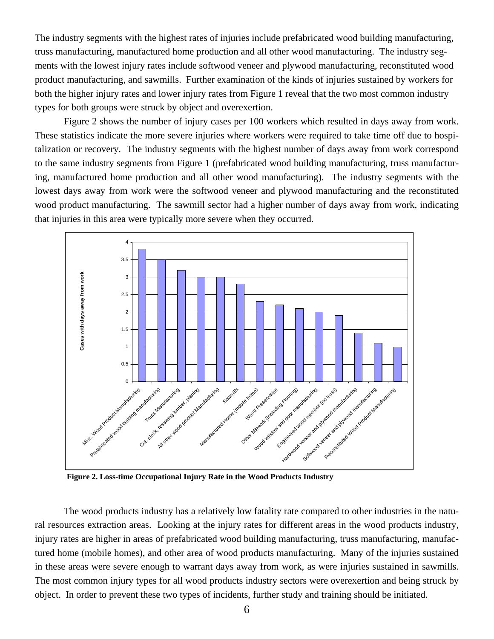The industry segments with the highest rates of injuries include prefabricated wood building manufacturing, truss manufacturing, manufactured home production and all other wood manufacturing. The industry segments with the lowest injury rates include softwood veneer and plywood manufacturing, reconstituted wood product manufacturing, and sawmills. Further examination of the kinds of injuries sustained by workers for both the higher injury rates and lower injury rates from Figure 1 reveal that the two most common industry types for both groups were struck by object and overexertion.

 Figure 2 shows the number of injury cases per 100 workers which resulted in days away from work. These statistics indicate the more severe injuries where workers were required to take time off due to hospitalization or recovery. The industry segments with the highest number of days away from work correspond to the same industry segments from Figure 1 (prefabricated wood building manufacturing, truss manufacturing, manufactured home production and all other wood manufacturing). The industry segments with the lowest days away from work were the softwood veneer and plywood manufacturing and the reconstituted wood product manufacturing. The sawmill sector had a higher number of days away from work, indicating that injuries in this area were typically more severe when they occurred.



**Figure 2. Loss-time Occupational Injury Rate in the Wood Products Industry**

 The wood products industry has a relatively low fatality rate compared to other industries in the natural resources extraction areas. Looking at the injury rates for different areas in the wood products industry, injury rates are higher in areas of prefabricated wood building manufacturing, truss manufacturing, manufactured home (mobile homes), and other area of wood products manufacturing. Many of the injuries sustained in these areas were severe enough to warrant days away from work, as were injuries sustained in sawmills. The most common injury types for all wood products industry sectors were overexertion and being struck by object. In order to prevent these two types of incidents, further study and training should be initiated.